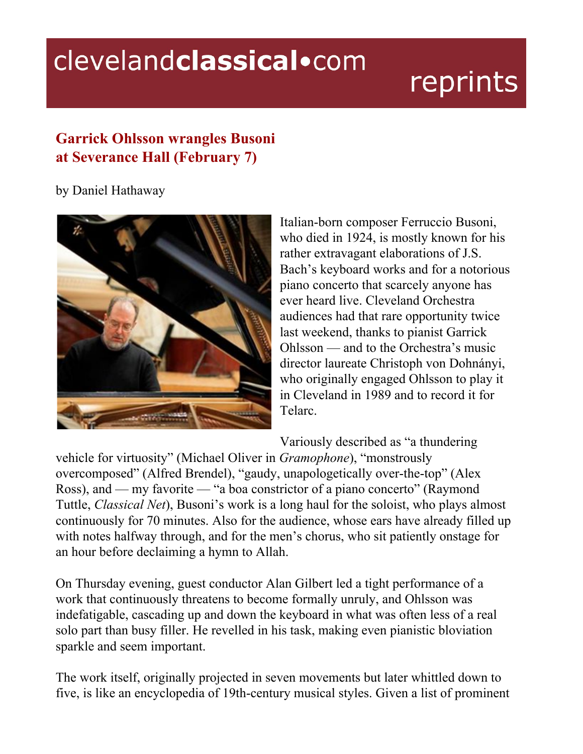## clevelandclassical.com

## reprints

## **Garrick Ohlsson wrangles Busoni at Severance Hall (February 7)**

## by Daniel Hathaway



Italian-born composer Ferruccio Busoni, who died in 1924, is mostly known for his rather extravagant elaborations of J.S. Bach's keyboard works and for a notorious piano concerto that scarcely anyone has ever heard live. Cleveland Orchestra audiences had that rare opportunity twice last weekend, thanks to pianist Garrick Ohlsson — and to the Orchestra's music director laureate Christoph von Dohnányi, who originally engaged Ohlsson to play it in Cleveland in 1989 and to record it for Telarc.

Variously described as "a thundering

vehicle for virtuosity" (Michael Oliver in *Gramophone*), "monstrously overcomposed" (Alfred Brendel), "gaudy, unapologetically over-the-top" (Alex Ross), and — my favorite — "a boa constrictor of a piano concerto" (Raymond Tuttle, *Classical Net*), Busoni's work is a long haul for the soloist, who plays almost continuously for 70 minutes. Also for the audience, whose ears have already filled up with notes halfway through, and for the men's chorus, who sit patiently onstage for an hour before declaiming a hymn to Allah.

On Thursday evening, guest conductor Alan Gilbert led a tight performance of a work that continuously threatens to become formally unruly, and Ohlsson was indefatigable, cascading up and down the keyboard in what was often less of a real solo part than busy filler. He revelled in his task, making even pianistic bloviation sparkle and seem important.

The work itself, originally projected in seven movements but later whittled down to five, is like an encyclopedia of 19th-century musical styles. Given a list of prominent